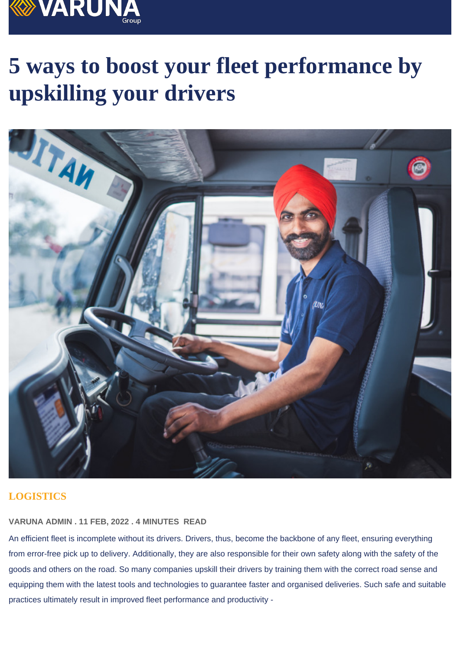# 5 ways to boost your fleet performance by upskilling your drivers

# **LOGISTICS**

### VARUNA ADMIN . 11 FEB, 2022 . 4 MINUTES READ

An efficient fleet is incomplete without its drivers. Drivers, thus, become the backbone of any fleet, ensuring everything from error-free pick up to delivery. Additionally, they are also responsible for their own safety along with the safety of the goods and others on the road. So many companies upskill their drivers by training them with the correct road sense and equipping them with the latest tools and technologies to guarantee faster and organised deliveries. Such safe and suitable practices ultimately result in improved fleet performance and productivity -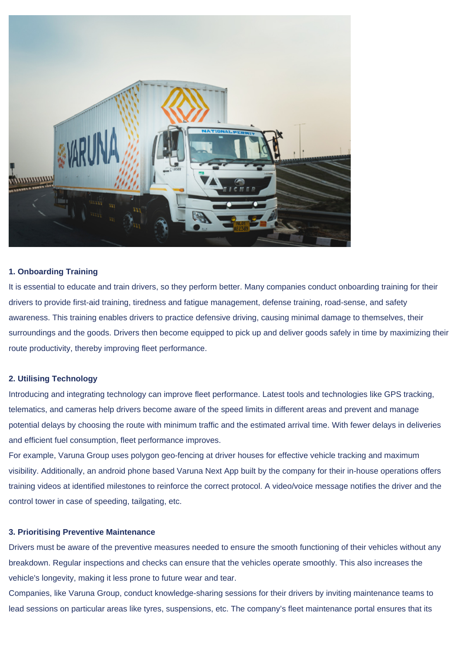

#### **1. Onboarding Training**

It is essential to educate and train drivers, so they perform better. Many companies conduct onboarding training for their drivers to provide first-aid training, tiredness and fatigue management, defense training, road-sense, and safety awareness. This training enables drivers to practice defensive driving, causing minimal damage to themselves, their surroundings and the goods. Drivers then become equipped to pick up and deliver goods safely in time by maximizing their route productivity, thereby improving fleet performance.

#### **2. Utilising Technology**

Introducing and integrating technology can improve fleet performance. Latest tools and technologies like GPS tracking, telematics, and cameras help drivers become aware of the speed limits in different areas and prevent and manage potential delays by choosing the route with minimum traffic and the estimated arrival time. With fewer delays in deliveries and efficient fuel consumption, fleet performance improves.

For example, Varuna Group uses polygon geo-fencing at driver houses for effective vehicle tracking and maximum visibility. Additionally, an android phone based Varuna Next App built by the company for their in-house operations offers training videos at identified milestones to reinforce the correct protocol. A video/voice message notifies the driver and the control tower in case of speeding, tailgating, etc.

#### **3. Prioritising Preventive Maintenance**

Drivers must be aware of the preventive measures needed to ensure the smooth functioning of their vehicles without any breakdown. Regular inspections and checks can ensure that the vehicles operate smoothly. This also increases the vehicle's longevity, making it less prone to future wear and tear.

Companies, like Varuna Group, conduct knowledge-sharing sessions for their drivers by inviting maintenance teams to lead sessions on particular areas like tyres, suspensions, etc. The company's fleet maintenance portal ensures that its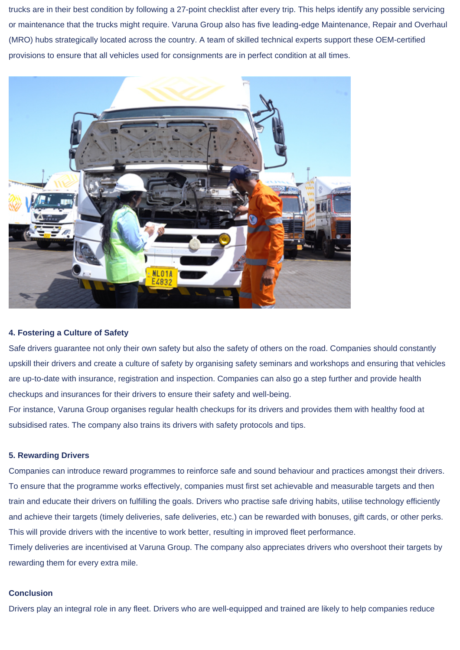trucks are in their best condition by following a 27-point checklist after every trip. This helps identify any possible servicing or maintenance that the trucks might require. Varuna Group also has five leading-edge Maintenance, Repair and Overhaul (MRO) hubs strategically located across the country. A team of skilled technical experts support these OEM-certified provisions to ensure that all vehicles used for consignments are in perfect condition at all times.



## **4. Fostering a Culture of Safety**

Safe drivers guarantee not only their own safety but also the safety of others on the road. Companies should constantly upskill their drivers and create a culture of safety by organising safety seminars and workshops and ensuring that vehicles are up-to-date with insurance, registration and inspection. Companies can also go a step further and provide health checkups and insurances for their drivers to ensure their safety and well-being.

For instance, Varuna Group organises regular health checkups for its drivers and provides them with healthy food at subsidised rates. The company also trains its drivers with safety protocols and tips.

#### **5. Rewarding Drivers**

Companies can introduce reward programmes to reinforce safe and sound behaviour and practices amongst their drivers. To ensure that the programme works effectively, companies must first set achievable and measurable targets and then train and educate their drivers on fulfilling the goals. Drivers who practise safe driving habits, utilise technology efficiently and achieve their targets (timely deliveries, safe deliveries, etc.) can be rewarded with bonuses, gift cards, or other perks. This will provide drivers with the incentive to work better, resulting in improved fleet performance.

Timely deliveries are incentivised at Varuna Group. The company also appreciates drivers who overshoot their targets by rewarding them for every extra mile.

#### **Conclusion**

Drivers play an integral role in any fleet. Drivers who are well-equipped and trained are likely to help companies reduce